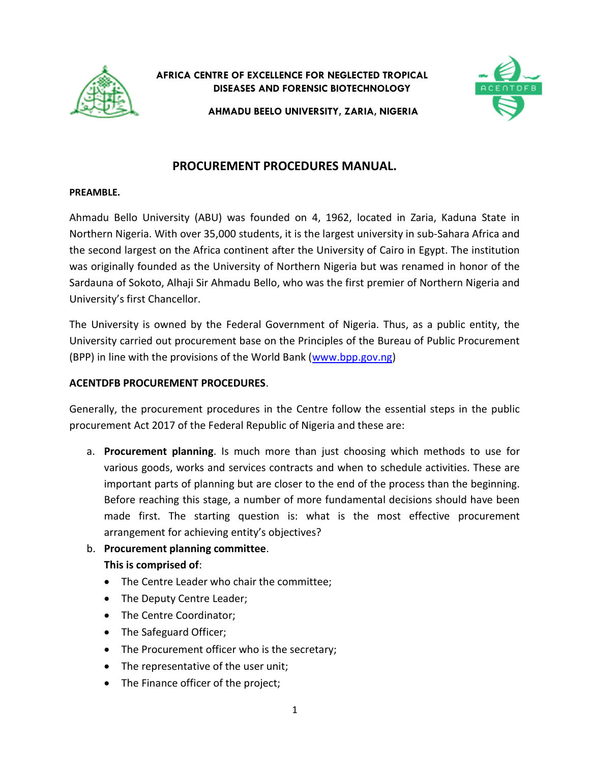

AFRICA CENTRE OF EXCELLENCE FOR NEGLECTED TROPICAL DISEASES AND FORENSIC BIOTECHNOLOGY



AHMADU BEELO UNIVERSITY, ZARIA, NIGERIA

# PROCUREMENT PROCEDURES MANUAL.

#### PREAMBLE.

Ahmadu Bello University (ABU) was founded on 4, 1962, located in Zaria, Kaduna State in Northern Nigeria. With over 35,000 students, it is the largest university in sub-Sahara Africa and the second largest on the Africa continent after the University of Cairo in Egypt. The institution was originally founded as the University of Northern Nigeria but was renamed in honor of the Sardauna of Sokoto, Alhaji Sir Ahmadu Bello, who was the first premier of Northern Nigeria and University's first Chancellor.

The University is owned by the Federal Government of Nigeria. Thus, as a public entity, the University carried out procurement base on the Principles of the Bureau of Public Procurement (BPP) in line with the provisions of the World Bank (www.bpp.gov.ng)

### ACENTDFB PROCUREMENT PROCEDURES.

Generally, the procurement procedures in the Centre follow the essential steps in the public procurement Act 2017 of the Federal Republic of Nigeria and these are:

- a. Procurement planning. Is much more than just choosing which methods to use for various goods, works and services contracts and when to schedule activities. These are important parts of planning but are closer to the end of the process than the beginning. Before reaching this stage, a number of more fundamental decisions should have been made first. The starting question is: what is the most effective procurement arrangement for achieving entity's objectives?
- b. Procurement planning committee. This is comprised of:
	- The Centre Leader who chair the committee;
	- The Deputy Centre Leader;
	- The Centre Coordinator;
	- The Safeguard Officer;
	- The Procurement officer who is the secretary;
	- The representative of the user unit;
	- The Finance officer of the project;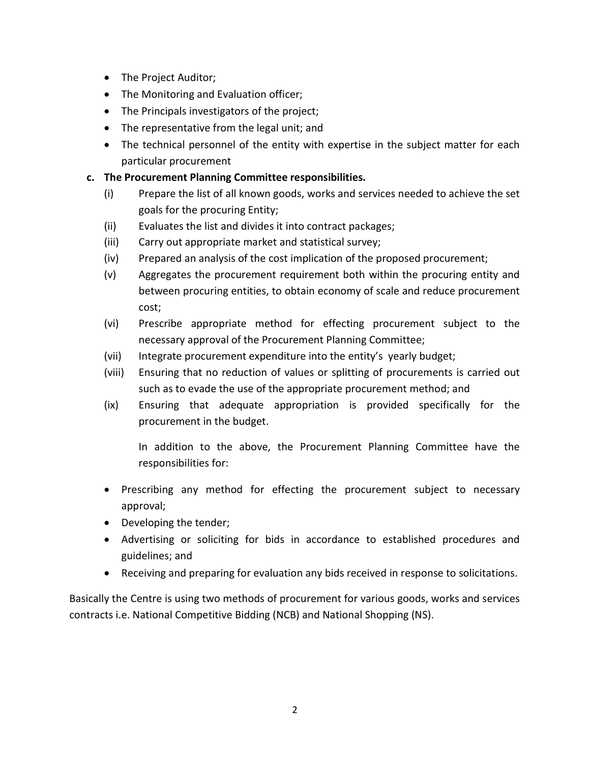- The Project Auditor;
- The Monitoring and Evaluation officer;
- The Principals investigators of the project;
- The representative from the legal unit; and
- The technical personnel of the entity with expertise in the subject matter for each particular procurement

## c. The Procurement Planning Committee responsibilities.

- (i) Prepare the list of all known goods, works and services needed to achieve the set goals for the procuring Entity;
- (ii) Evaluates the list and divides it into contract packages;
- (iii) Carry out appropriate market and statistical survey;
- (iv) Prepared an analysis of the cost implication of the proposed procurement;
- (v) Aggregates the procurement requirement both within the procuring entity and between procuring entities, to obtain economy of scale and reduce procurement cost;
- (vi) Prescribe appropriate method for effecting procurement subject to the necessary approval of the Procurement Planning Committee;
- (vii) Integrate procurement expenditure into the entity's yearly budget;
- (viii) Ensuring that no reduction of values or splitting of procurements is carried out such as to evade the use of the appropriate procurement method; and
- (ix) Ensuring that adequate appropriation is provided specifically for the procurement in the budget.

In addition to the above, the Procurement Planning Committee have the responsibilities for:

- Prescribing any method for effecting the procurement subject to necessary approval;
- Developing the tender;
- Advertising or soliciting for bids in accordance to established procedures and guidelines; and
- Receiving and preparing for evaluation any bids received in response to solicitations.

Basically the Centre is using two methods of procurement for various goods, works and services contracts i.e. National Competitive Bidding (NCB) and National Shopping (NS).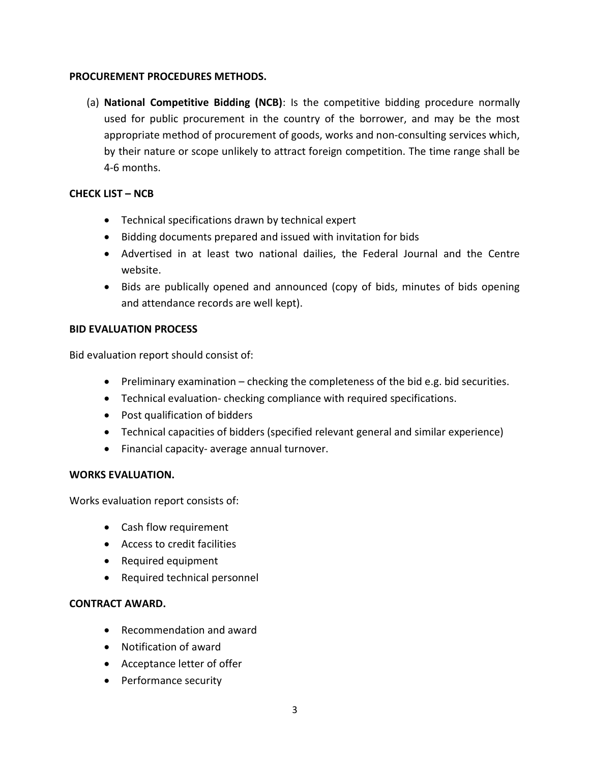### PROCUREMENT PROCEDURES METHODS.

(a) National Competitive Bidding (NCB): Is the competitive bidding procedure normally used for public procurement in the country of the borrower, and may be the most appropriate method of procurement of goods, works and non-consulting services which, by their nature or scope unlikely to attract foreign competition. The time range shall be 4-6 months.

## CHECK LIST – NCB

- Technical specifications drawn by technical expert
- Bidding documents prepared and issued with invitation for bids
- Advertised in at least two national dailies, the Federal Journal and the Centre website.
- Bids are publically opened and announced (copy of bids, minutes of bids opening and attendance records are well kept).

## BID EVALUATION PROCESS

Bid evaluation report should consist of:

- $\bullet$  Preliminary examination checking the completeness of the bid e.g. bid securities.
- Technical evaluation- checking compliance with required specifications.
- Post qualification of bidders
- Technical capacities of bidders (specified relevant general and similar experience)
- Financial capacity- average annual turnover.

#### WORKS EVALUATION.

Works evaluation report consists of:

- Cash flow requirement
- Access to credit facilities
- Required equipment
- Required technical personnel

#### CONTRACT AWARD.

- Recommendation and award
- Notification of award
- Acceptance letter of offer
- Performance security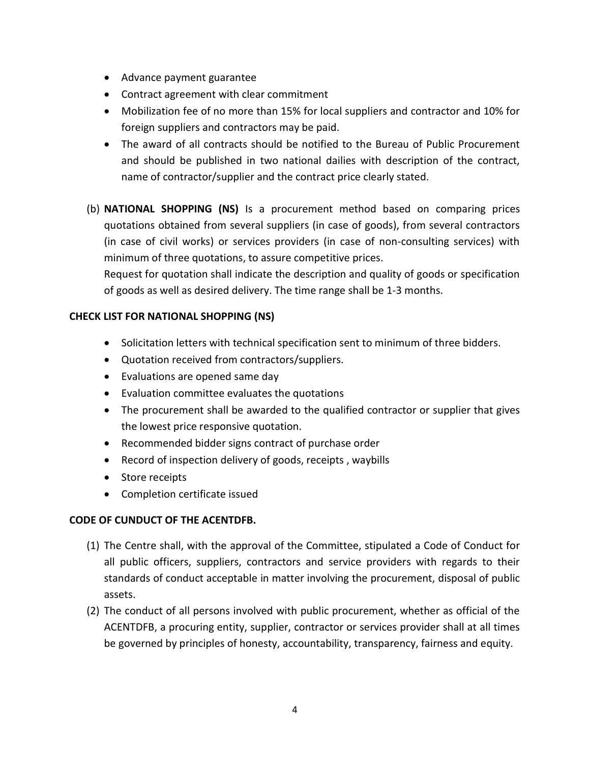- Advance payment guarantee
- Contract agreement with clear commitment
- Mobilization fee of no more than 15% for local suppliers and contractor and 10% for foreign suppliers and contractors may be paid.
- The award of all contracts should be notified to the Bureau of Public Procurement and should be published in two national dailies with description of the contract, name of contractor/supplier and the contract price clearly stated.
- (b) NATIONAL SHOPPING (NS) Is a procurement method based on comparing prices quotations obtained from several suppliers (in case of goods), from several contractors (in case of civil works) or services providers (in case of non-consulting services) with minimum of three quotations, to assure competitive prices.

Request for quotation shall indicate the description and quality of goods or specification of goods as well as desired delivery. The time range shall be 1-3 months.

# CHECK LIST FOR NATIONAL SHOPPING (NS)

- Solicitation letters with technical specification sent to minimum of three bidders.
- Quotation received from contractors/suppliers.
- Evaluations are opened same day
- Evaluation committee evaluates the quotations
- The procurement shall be awarded to the qualified contractor or supplier that gives the lowest price responsive quotation.
- Recommended bidder signs contract of purchase order
- Record of inspection delivery of goods, receipts, waybills
- Store receipts
- Completion certificate issued

## CODE OF CUNDUCT OF THE ACENTDFB.

- (1) The Centre shall, with the approval of the Committee, stipulated a Code of Conduct for all public officers, suppliers, contractors and service providers with regards to their standards of conduct acceptable in matter involving the procurement, disposal of public assets.
- (2) The conduct of all persons involved with public procurement, whether as official of the ACENTDFB, a procuring entity, supplier, contractor or services provider shall at all times be governed by principles of honesty, accountability, transparency, fairness and equity.